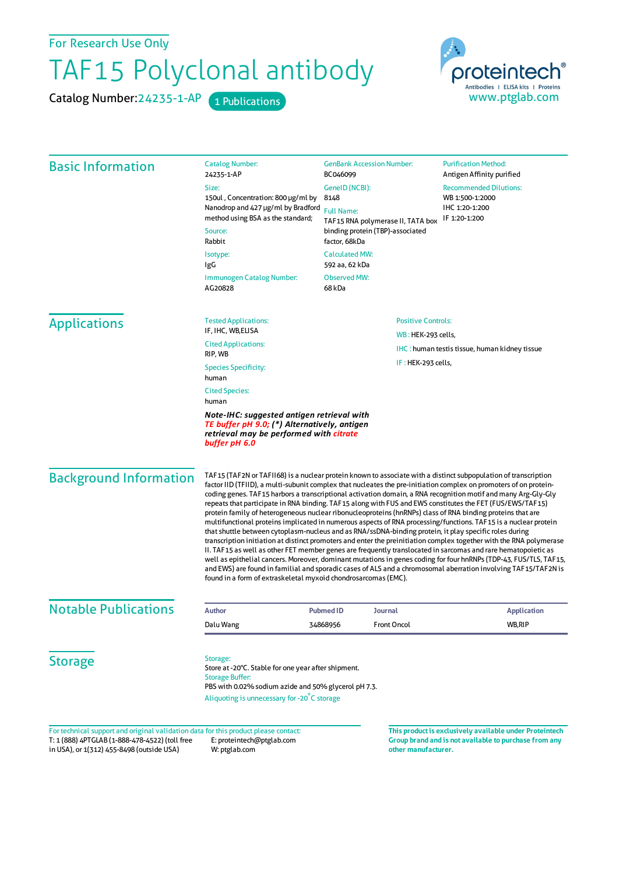For Research Use Only

## TAF15 Polyclonal antibody

Catalog Number: 24235-1-AP 1 Publications



| <b>Basic Information</b>                                                                                                                               | <b>Catalog Number:</b><br>24235-1-AP                                                                                                                                                                                                                                                                                                                                                                                                                                                                                                                                                                                                                                                                                                                                                                                                                                                                                                                                                                                                                                                                                                                                                                                                                                                                                                                           | <b>GenBank Accession Number:</b><br>BC046099                                                                                          | <b>Purification Method:</b><br>Antigen Affinity purified                            |                                      |                                         |  |
|--------------------------------------------------------------------------------------------------------------------------------------------------------|----------------------------------------------------------------------------------------------------------------------------------------------------------------------------------------------------------------------------------------------------------------------------------------------------------------------------------------------------------------------------------------------------------------------------------------------------------------------------------------------------------------------------------------------------------------------------------------------------------------------------------------------------------------------------------------------------------------------------------------------------------------------------------------------------------------------------------------------------------------------------------------------------------------------------------------------------------------------------------------------------------------------------------------------------------------------------------------------------------------------------------------------------------------------------------------------------------------------------------------------------------------------------------------------------------------------------------------------------------------|---------------------------------------------------------------------------------------------------------------------------------------|-------------------------------------------------------------------------------------|--------------------------------------|-----------------------------------------|--|
|                                                                                                                                                        | Size:<br>150ul, Concentration: 800 µg/ml by<br>Nanodrop and 427 µg/ml by Bradford<br>method using BSA as the standard;<br>Source:<br>Rabbit                                                                                                                                                                                                                                                                                                                                                                                                                                                                                                                                                                                                                                                                                                                                                                                                                                                                                                                                                                                                                                                                                                                                                                                                                    | GenelD (NCBI):<br>8148<br><b>Full Name:</b><br>TAF15 RNA polymerase II, TATA box<br>binding protein (TBP)-associated<br>factor, 68kDa | <b>Recommended Dilutions:</b><br>WB 1:500-1:2000<br>IHC 1:20-1:200<br>IF 1:20-1:200 |                                      |                                         |  |
|                                                                                                                                                        |                                                                                                                                                                                                                                                                                                                                                                                                                                                                                                                                                                                                                                                                                                                                                                                                                                                                                                                                                                                                                                                                                                                                                                                                                                                                                                                                                                |                                                                                                                                       |                                                                                     | Isotype:<br>IgG                      | <b>Calculated MW:</b><br>592 aa, 62 kDa |  |
|                                                                                                                                                        |                                                                                                                                                                                                                                                                                                                                                                                                                                                                                                                                                                                                                                                                                                                                                                                                                                                                                                                                                                                                                                                                                                                                                                                                                                                                                                                                                                |                                                                                                                                       |                                                                                     | Immunogen Catalog Number:<br>AG20828 | <b>Observed MW:</b><br>68 kDa           |  |
|                                                                                                                                                        | <b>Applications</b>                                                                                                                                                                                                                                                                                                                                                                                                                                                                                                                                                                                                                                                                                                                                                                                                                                                                                                                                                                                                                                                                                                                                                                                                                                                                                                                                            | <b>Tested Applications:</b><br>IF, IHC, WB, ELISA                                                                                     | <b>Positive Controls:</b>                                                           |                                      |                                         |  |
|                                                                                                                                                        |                                                                                                                                                                                                                                                                                                                                                                                                                                                                                                                                                                                                                                                                                                                                                                                                                                                                                                                                                                                                                                                                                                                                                                                                                                                                                                                                                                | <b>Cited Applications:</b>                                                                                                            | WB: HEK-293 cells,                                                                  |                                      |                                         |  |
| RIP, WB                                                                                                                                                |                                                                                                                                                                                                                                                                                                                                                                                                                                                                                                                                                                                                                                                                                                                                                                                                                                                                                                                                                                                                                                                                                                                                                                                                                                                                                                                                                                | <b>IHC</b> : human testis tissue, human kidney tissue<br>IF: HEK-293 cells,                                                           |                                                                                     |                                      |                                         |  |
| <b>Species Specificity:</b><br>human                                                                                                                   |                                                                                                                                                                                                                                                                                                                                                                                                                                                                                                                                                                                                                                                                                                                                                                                                                                                                                                                                                                                                                                                                                                                                                                                                                                                                                                                                                                |                                                                                                                                       |                                                                                     |                                      |                                         |  |
| <b>Cited Species:</b><br>human                                                                                                                         |                                                                                                                                                                                                                                                                                                                                                                                                                                                                                                                                                                                                                                                                                                                                                                                                                                                                                                                                                                                                                                                                                                                                                                                                                                                                                                                                                                |                                                                                                                                       |                                                                                     |                                      |                                         |  |
| Note-IHC: suggested antigen retrieval with<br>TE buffer pH 9.0; (*) Alternatively, antigen<br>retrieval may be performed with citrate<br>buffer pH 6.0 |                                                                                                                                                                                                                                                                                                                                                                                                                                                                                                                                                                                                                                                                                                                                                                                                                                                                                                                                                                                                                                                                                                                                                                                                                                                                                                                                                                |                                                                                                                                       |                                                                                     |                                      |                                         |  |
| <b>Background Information</b>                                                                                                                          | TAF15 (TAF2N or TAFII68) is a nuclear protein known to associate with a distinct subpopulation of transcription<br>factor IID (TFIID), a multi-subunit complex that nucleates the pre-initiation complex on promoters of on protein-<br>coding genes. TAF15 harbors a transcriptional activation domain, a RNA recognition motif and many Arg-Gly-Gly<br>repeats that participate in RNA binding. TAF15 along with FUS and EWS constitutes the FET (FUS/EWS/TAF15)<br>protein family of heterogeneous nuclear ribonucleoproteins (hnRNPs) class of RNA binding proteins that are<br>multifunctional proteins implicated in numerous aspects of RNA processing/functions. TAF15 is a nuclear protein<br>that shuttle between cytoplasm-nucleus and as RNA/ssDNA-binding protein, it play specific roles during<br>transcription initiation at distinct promoters and enter the preinitiation complex together with the RNA polymerase<br>II. TAF15 as well as other FET member genes are frequently translocated in sarcomas and rare hematopoietic as<br>well as epithelial cancers. Moreover, dominant mutations in genes coding for four hnRNPs (TDP-43, FUS/TLS, TAF15,<br>and EWS) are found in familial and sporadic cases of ALS and a chromosomal aberration involving TAF15/TAF2N is<br>found in a form of extraskeletal myxoid chondrosarcomas (EMC). |                                                                                                                                       |                                                                                     |                                      |                                         |  |
| <b>Notable Publications</b>                                                                                                                            | <b>Author</b>                                                                                                                                                                                                                                                                                                                                                                                                                                                                                                                                                                                                                                                                                                                                                                                                                                                                                                                                                                                                                                                                                                                                                                                                                                                                                                                                                  | <b>Pubmed ID</b><br>Journal                                                                                                           | <b>Application</b>                                                                  |                                      |                                         |  |
|                                                                                                                                                        | Dalu Wang                                                                                                                                                                                                                                                                                                                                                                                                                                                                                                                                                                                                                                                                                                                                                                                                                                                                                                                                                                                                                                                                                                                                                                                                                                                                                                                                                      | <b>Front Oncol</b><br>34868956                                                                                                        | WB,RIP                                                                              |                                      |                                         |  |
| <b>Storage</b>                                                                                                                                         | Storage:<br>Store at -20°C. Stable for one year after shipment.<br><b>Storage Buffer:</b><br>PBS with 0.02% sodium azide and 50% glycerol pH 7.3.                                                                                                                                                                                                                                                                                                                                                                                                                                                                                                                                                                                                                                                                                                                                                                                                                                                                                                                                                                                                                                                                                                                                                                                                              |                                                                                                                                       |                                                                                     |                                      |                                         |  |
|                                                                                                                                                        | Aliquoting is unnecessary for -20°C storage                                                                                                                                                                                                                                                                                                                                                                                                                                                                                                                                                                                                                                                                                                                                                                                                                                                                                                                                                                                                                                                                                                                                                                                                                                                                                                                    |                                                                                                                                       |                                                                                     |                                      |                                         |  |
| For technical support and original validation data for this product please contact:                                                                    |                                                                                                                                                                                                                                                                                                                                                                                                                                                                                                                                                                                                                                                                                                                                                                                                                                                                                                                                                                                                                                                                                                                                                                                                                                                                                                                                                                |                                                                                                                                       | This product is exclusively available under Proteintech                             |                                      |                                         |  |

T: 1 (888) 4PTGLAB (1-888-478-4522) (toll free in USA), or 1(312) 455-8498 (outside USA) E: proteintech@ptglab.com W: ptglab.com

**Group brand and is not available to purchase from any other manufacturer.**